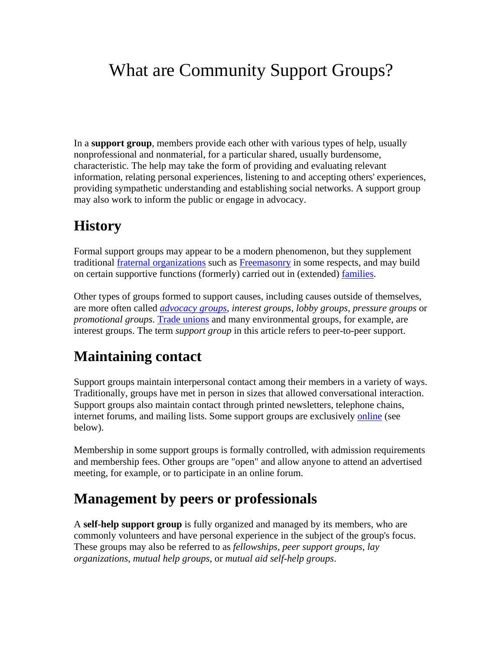# What are Community Support Groups?

In a **support group**, members provide each other with various types of help, usually nonprofessional and nonmaterial, for a particular shared, usually burdensome, characteristic. The help may take the form of providing and evaluating relevant information, relating personal experiences, listening to and accepting others' experiences, providing sympathetic understanding and establishing social networks. A support group may also work to inform the public or engage in advocacy.

#### **History**

Formal support groups may appear to be a modern phenomenon, but they supplement traditional fraternal organizations such as Freemasonry in some respects, and may build on certain supportive functions (formerly) carried out in (extended) families.

Other types of groups formed to support causes, including causes outside of themselves, are more often called *advocacy groups*, *interest groups*, *lobby groups*, *pressure groups* or *promotional groups*. Trade unions and many environmental groups, for example, are interest groups. The term *support group* in this article refers to peer-to-peer support.

## **Maintaining contact**

Support groups maintain interpersonal contact among their members in a variety of ways. Traditionally, groups have met in person in sizes that allowed conversational interaction. Support groups also maintain contact through printed newsletters, telephone chains, internet forums, and mailing lists. Some support groups are exclusively online (see below).

Membership in some support groups is formally controlled, with admission requirements and membership fees. Other groups are "open" and allow anyone to attend an advertised meeting, for example, or to participate in an online forum.

#### **Management by peers or professionals**

A **self-help support group** is fully organized and managed by its members, who are commonly volunteers and have personal experience in the subject of the group's focus. These groups may also be referred to as *fellowships*, *peer support groups*, *lay organizations*, *mutual help groups*, or *mutual aid self-help groups*.